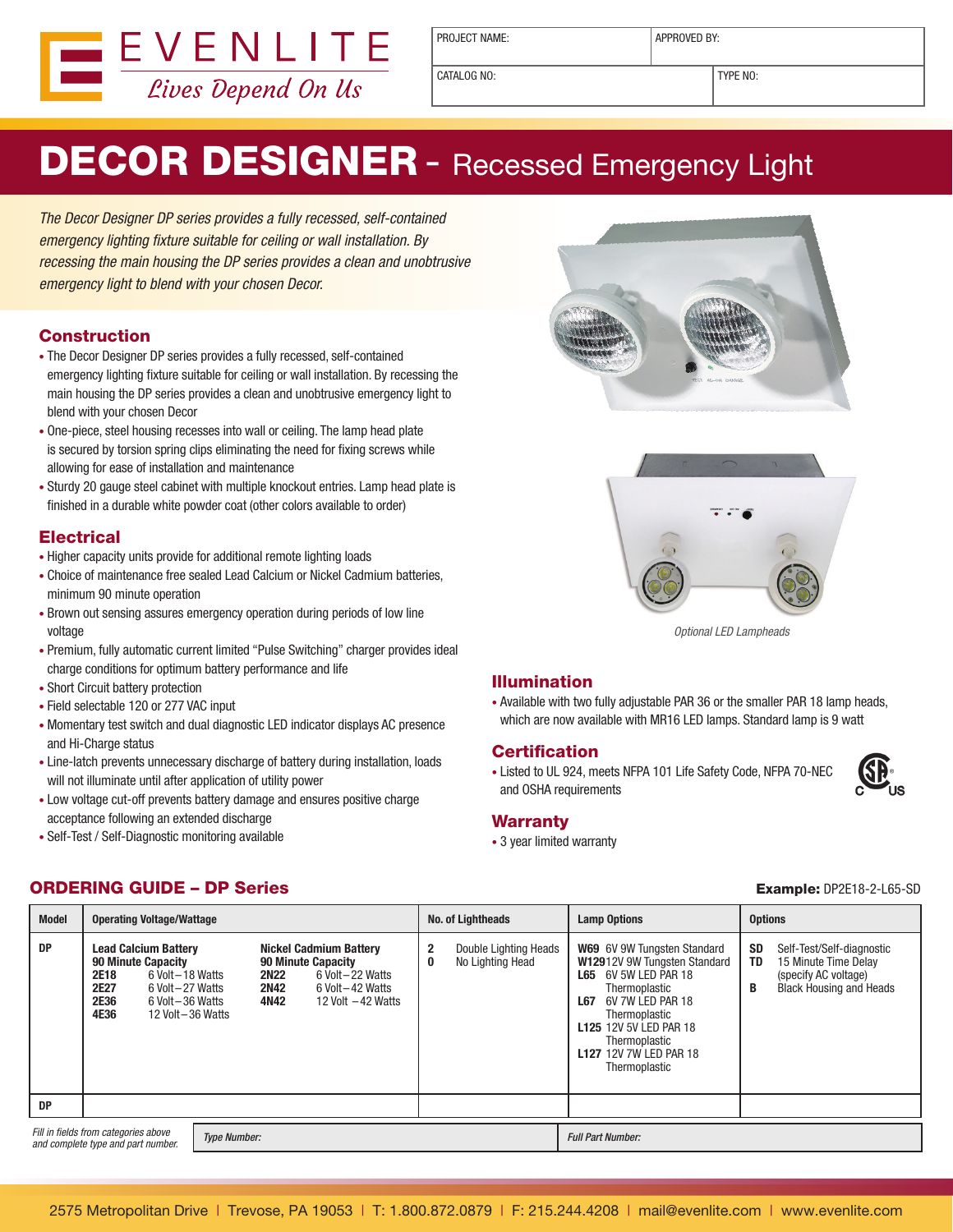

PROJECT NAME:  $\vert$  APPROVED BY:

CATALOG NO: TYPE NO:

# DECOR DESIGNER - Recessed Emergency Light

The Decor Designer DP series provides a fully recessed, self-contained emergency lighting fixture suitable for ceiling or wall installation. By recessing the main housing the DP series provides a clean and unobtrusive emergency light to blend with your chosen Decor.

### **Construction**

- The Decor Designer DP series provides a fully recessed, self-contained emergency lighting fixture suitable for ceiling or wall installation. By recessing the main housing the DP series provides a clean and unobtrusive emergency light to blend with your chosen Decor
- One-piece, steel housing recesses into wall or ceiling. The lamp head plate is secured by torsion spring clips eliminating the need for fixing screws while allowing for ease of installation and maintenance
- Sturdy 20 gauge steel cabinet with multiple knockout entries. Lamp head plate is finished in a durable white powder coat (other colors available to order)

### **Electrical**

- Higher capacity units provide for additional remote lighting loads
- Choice of maintenance free sealed Lead Calcium or Nickel Cadmium batteries, minimum 90 minute operation
- Brown out sensing assures emergency operation during periods of low line voltage
- Premium, fully automatic current limited "Pulse Switching" charger provides ideal charge conditions for optimum battery performance and life
- Short Circuit battery protection
- Field selectable 120 or 277 VAC input
- Momentary test switch and dual diagnostic LED indicator displays AC presence and Hi-Charge status
- Line-latch prevents unnecessary discharge of battery during installation, loads will not illuminate until after application of utility power
- Low voltage cut-off prevents battery damage and ensures positive charge acceptance following an extended discharge
- Self-Test / Self-Diagnostic monitoring available





Optional LED Lampheads

#### Illumination

• Available with two fully adjustable PAR 36 or the smaller PAR 18 lamp heads, which are now available with MR16 LED lamps. Standard lamp is 9 watt

#### **Certification**

• Listed to UL 924, meets NFPA 101 Life Safety Code, NFPA 70-NEC and OSHA requirements



#### **Warranty**

• 3 year limited warranty

| <b>Model</b>                                                                                      | <b>Operating Voltage/Wattage</b>                                                                                                                                                            |                                                                                                                                                            | No. of Lightheads                                                    | <b>Lamp Options</b>                                                                                                                                                                                                                                     | <b>Options</b>                                                                                                               |
|---------------------------------------------------------------------------------------------------|---------------------------------------------------------------------------------------------------------------------------------------------------------------------------------------------|------------------------------------------------------------------------------------------------------------------------------------------------------------|----------------------------------------------------------------------|---------------------------------------------------------------------------------------------------------------------------------------------------------------------------------------------------------------------------------------------------------|------------------------------------------------------------------------------------------------------------------------------|
| <b>DP</b>                                                                                         | <b>Lead Calcium Battery</b><br><b>90 Minute Capacity</b><br>2E18<br>6 Volt - 18 Watts<br><b>2E27</b><br>6 Volt - 27 Watts<br><b>2E36</b><br>6 Volt - 36 Watts<br>4E36<br>12 Volt - 36 Watts | Nickel Cadmium Battery<br><b>90 Minute Capacity</b><br><b>2N22</b><br>6 Volt - 22 Watts<br><b>2N42</b><br>6 Volt - 42 Watts<br>4N42<br>12 Volt $-42$ Watts | $\mathbf 2$<br>Double Lighting Heads<br>No Lighting Head<br>$\bf{0}$ | W69 6V 9W Tungsten Standard<br>W12912V 9W Tungsten Standard<br>6V 5W LED PAR 18<br>L65<br>Thermoplastic<br>6V 7W LED PAR 18<br>L67<br>Thermoplastic<br><b>L125 12V 5V LED PAR 18</b><br>Thermoplastic<br><b>L127 12V 7W LED PAR 18</b><br>Thermoplastic | SD<br>Self-Test/Self-diagnostic<br>TD<br>15 Minute Time Delay<br>(specify AC voltage)<br><b>Black Housing and Heads</b><br>B |
| <b>DP</b>                                                                                         |                                                                                                                                                                                             |                                                                                                                                                            |                                                                      |                                                                                                                                                                                                                                                         |                                                                                                                              |
| Fill in fields from categories above<br><b>Type Number:</b><br>and complete type and part number. |                                                                                                                                                                                             |                                                                                                                                                            |                                                                      | <b>Full Part Number:</b>                                                                                                                                                                                                                                |                                                                                                                              |

## **ORDERING GUIDE – DP Series Example: DP2E18-2-L65-SD**